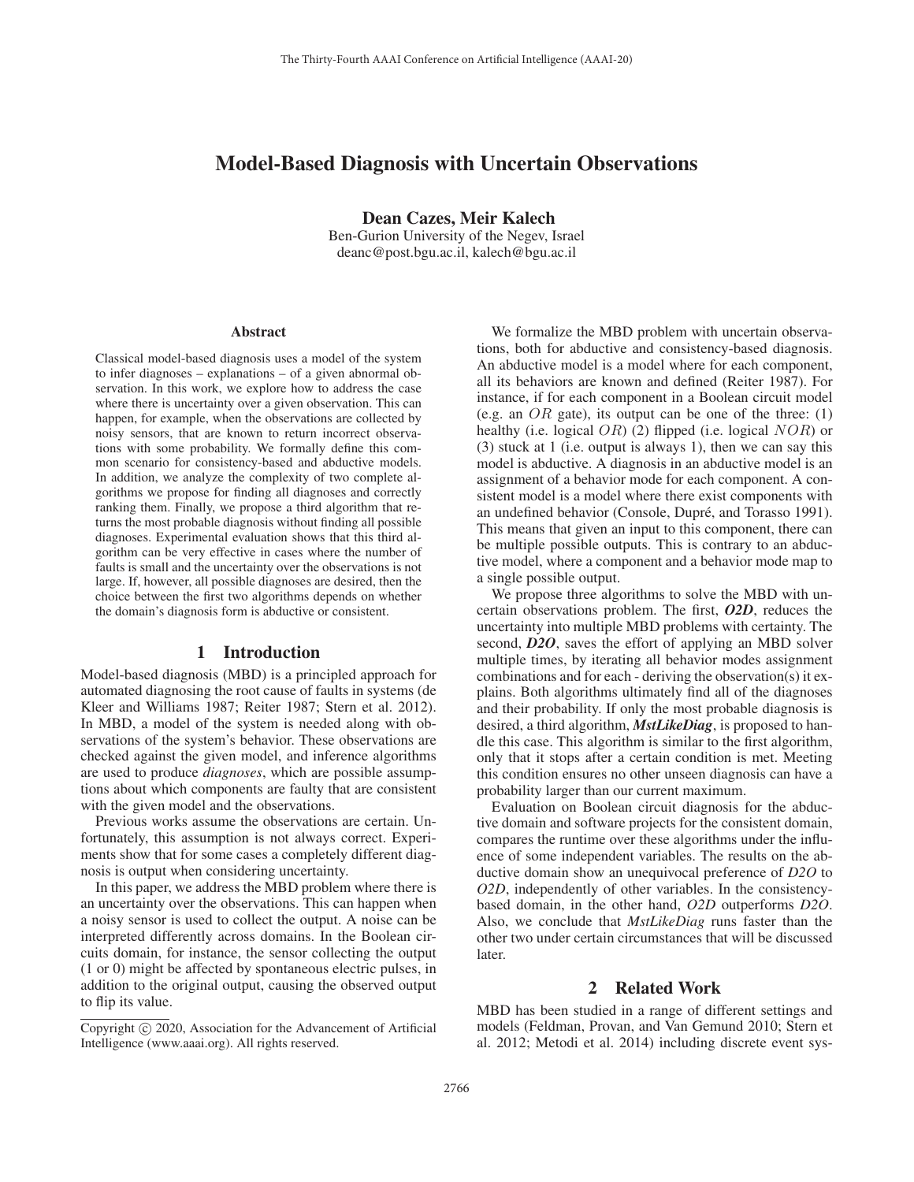# Model-Based Diagnosis with Uncertain Observations

Dean Cazes, Meir Kalech

Ben-Gurion University of the Negev, Israel deanc@post.bgu.ac.il, kalech@bgu.ac.il

#### **Abstract**

Classical model-based diagnosis uses a model of the system to infer diagnoses – explanations – of a given abnormal observation. In this work, we explore how to address the case where there is uncertainty over a given observation. This can happen, for example, when the observations are collected by noisy sensors, that are known to return incorrect observations with some probability. We formally define this common scenario for consistency-based and abductive models. In addition, we analyze the complexity of two complete algorithms we propose for finding all diagnoses and correctly ranking them. Finally, we propose a third algorithm that returns the most probable diagnosis without finding all possible diagnoses. Experimental evaluation shows that this third algorithm can be very effective in cases where the number of faults is small and the uncertainty over the observations is not large. If, however, all possible diagnoses are desired, then the choice between the first two algorithms depends on whether the domain's diagnosis form is abductive or consistent.

#### 1 Introduction

Model-based diagnosis (MBD) is a principled approach for automated diagnosing the root cause of faults in systems (de Kleer and Williams 1987; Reiter 1987; Stern et al. 2012). In MBD, a model of the system is needed along with observations of the system's behavior. These observations are checked against the given model, and inference algorithms are used to produce *diagnoses*, which are possible assumptions about which components are faulty that are consistent with the given model and the observations.

Previous works assume the observations are certain. Unfortunately, this assumption is not always correct. Experiments show that for some cases a completely different diagnosis is output when considering uncertainty.

In this paper, we address the MBD problem where there is an uncertainty over the observations. This can happen when a noisy sensor is used to collect the output. A noise can be interpreted differently across domains. In the Boolean circuits domain, for instance, the sensor collecting the output (1 or 0) might be affected by spontaneous electric pulses, in addition to the original output, causing the observed output to flip its value.

We formalize the MBD problem with uncertain observations, both for abductive and consistency-based diagnosis. An abductive model is a model where for each component, all its behaviors are known and defined (Reiter 1987). For instance, if for each component in a Boolean circuit model (e.g. an  $OR$  gate), its output can be one of the three: (1) healthy (i.e. logical  $OR$ ) (2) flipped (i.e. logical  $NOR$ ) or (3) stuck at 1 (i.e. output is always 1), then we can say this model is abductive. A diagnosis in an abductive model is an assignment of a behavior mode for each component. A consistent model is a model where there exist components with an undefined behavior (Console, Dupré, and Torasso 1991). This means that given an input to this component, there can be multiple possible outputs. This is contrary to an abductive model, where a component and a behavior mode map to a single possible output.

We propose three algorithms to solve the MBD with uncertain observations problem. The first, *O2D*, reduces the uncertainty into multiple MBD problems with certainty. The second, *D2O*, saves the effort of applying an MBD solver multiple times, by iterating all behavior modes assignment combinations and for each - deriving the observation(s) it explains. Both algorithms ultimately find all of the diagnoses and their probability. If only the most probable diagnosis is desired, a third algorithm, *MstLikeDiag*, is proposed to handle this case. This algorithm is similar to the first algorithm, only that it stops after a certain condition is met. Meeting this condition ensures no other unseen diagnosis can have a probability larger than our current maximum.

Evaluation on Boolean circuit diagnosis for the abductive domain and software projects for the consistent domain, compares the runtime over these algorithms under the influence of some independent variables. The results on the abductive domain show an unequivocal preference of *D2O* to *O2D*, independently of other variables. In the consistencybased domain, in the other hand, *O2D* outperforms *D2O*. Also, we conclude that *MstLikeDiag* runs faster than the other two under certain circumstances that will be discussed later.

### 2 Related Work

MBD has been studied in a range of different settings and models (Feldman, Provan, and Van Gemund 2010; Stern et al. 2012; Metodi et al. 2014) including discrete event sys-

Copyright  $\odot$  2020, Association for the Advancement of Artificial Intelligence (www.aaai.org). All rights reserved.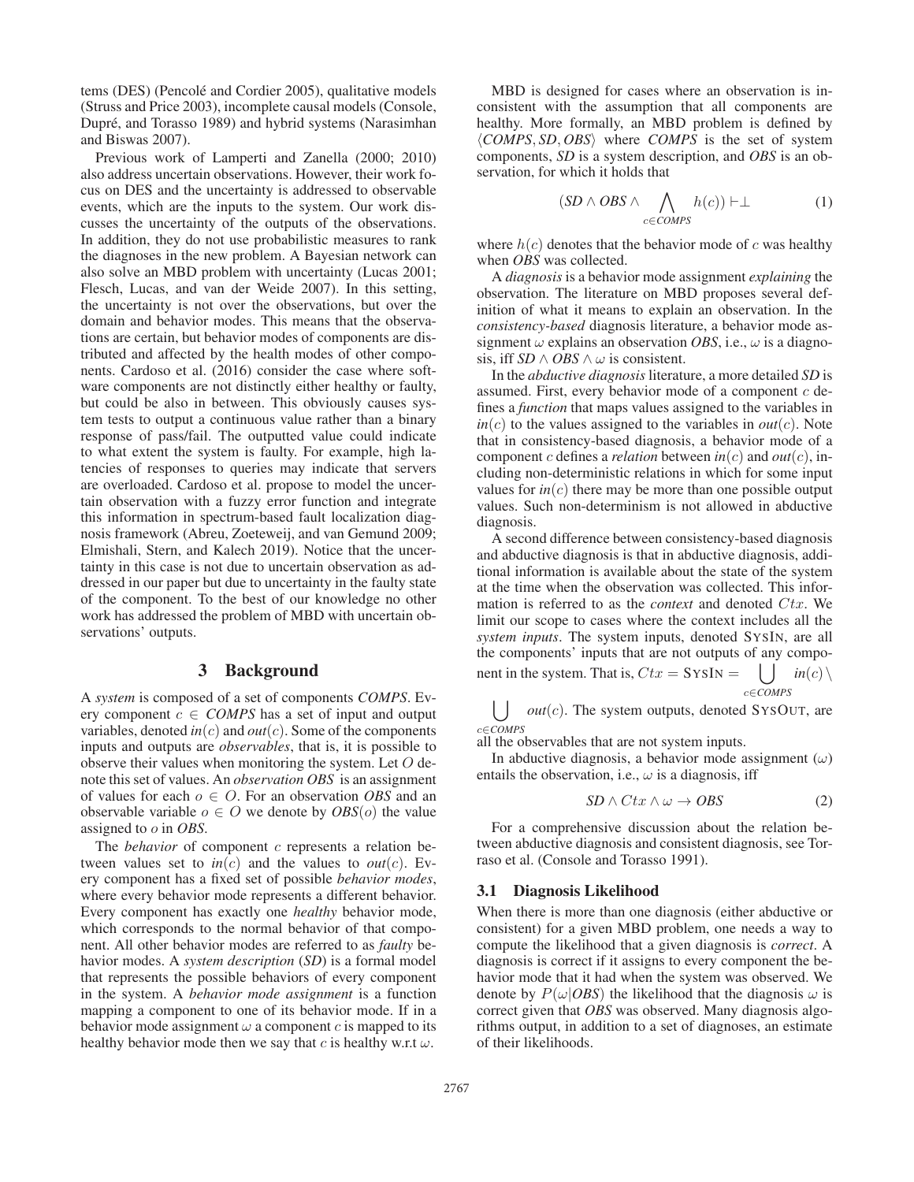tems (DES) (Pencolé and Cordier 2005), qualitative models (Struss and Price 2003), incomplete causal models (Console, Dupré, and Torasso 1989) and hybrid systems (Narasimhan and Biswas 2007).

Previous work of Lamperti and Zanella (2000; 2010) also address uncertain observations. However, their work focus on DES and the uncertainty is addressed to observable events, which are the inputs to the system. Our work discusses the uncertainty of the outputs of the observations. In addition, they do not use probabilistic measures to rank the diagnoses in the new problem. A Bayesian network can also solve an MBD problem with uncertainty (Lucas 2001; Flesch, Lucas, and van der Weide 2007). In this setting, the uncertainty is not over the observations, but over the domain and behavior modes. This means that the observations are certain, but behavior modes of components are distributed and affected by the health modes of other components. Cardoso et al. (2016) consider the case where software components are not distinctly either healthy or faulty, but could be also in between. This obviously causes system tests to output a continuous value rather than a binary response of pass/fail. The outputted value could indicate to what extent the system is faulty. For example, high latencies of responses to queries may indicate that servers are overloaded. Cardoso et al. propose to model the uncertain observation with a fuzzy error function and integrate this information in spectrum-based fault localization diagnosis framework (Abreu, Zoeteweij, and van Gemund 2009; Elmishali, Stern, and Kalech 2019). Notice that the uncertainty in this case is not due to uncertain observation as addressed in our paper but due to uncertainty in the faulty state of the component. To the best of our knowledge no other work has addressed the problem of MBD with uncertain observations' outputs.

## 3 Background

A *system* is composed of a set of components *COMPS*. Every component  $c \in COMPS$  has a set of input and output variables, denoted  $in(c)$  and  $out(c)$ . Some of the components inputs and outputs are *observables*, that is, it is possible to observe their values when monitoring the system. Let  $O$  denote this set of values. An *observation OBS* is an assignment of values for each o ∈ O. For an observation *OBS* and an observable variable  $o \in O$  we denote by  $OBS(o)$  the value assigned to o in *OBS*.

The *behavior* of component c represents a relation between values set to  $in(c)$  and the values to  $out(c)$ . Every component has a fixed set of possible *behavior modes*, where every behavior mode represents a different behavior. Every component has exactly one *healthy* behavior mode, which corresponds to the normal behavior of that component. All other behavior modes are referred to as *faulty* behavior modes. A *system description* (*SD*) is a formal model that represents the possible behaviors of every component in the system. A *behavior mode assignment* is a function mapping a component to one of its behavior mode. If in a behavior mode assignment  $\omega$  a component c is mapped to its healthy behavior mode then we say that c is healthy w.r.t  $\omega$ .

MBD is designed for cases where an observation is inconsistent with the assumption that all components are healthy. More formally, an MBD problem is defined by *COMPS*, *SD*, *OBS* where *COMPS* is the set of system components, *SD* is a system description, and *OBS* is an observation, for which it holds that

$$
(SD \land OBS \land \bigwedge_{c \in COMPS} h(c)) \vdash \perp \tag{1}
$$

where  $h(c)$  denotes that the behavior mode of c was healthy when *OBS* was collected.

A *diagnosis* is a behavior mode assignment *explaining* the observation. The literature on MBD proposes several definition of what it means to explain an observation. In the *consistency-based* diagnosis literature, a behavior mode assignment  $\omega$  explains an observation *OBS*, i.e.,  $\omega$  is a diagnosis, iff *SD*  $\land$  *OBS*  $\land$   $\omega$  is consistent.

In the *abductive diagnosis* literature, a more detailed *SD* is assumed. First, every behavior mode of a component  $c$  defines a *function* that maps values assigned to the variables in  $in(c)$  to the values assigned to the variables in  $out(c)$ . Note that in consistency-based diagnosis, a behavior mode of a component c defines a *relation* between  $in(c)$  and  $out(c)$ , including non-deterministic relations in which for some input values for  $in(c)$  there may be more than one possible output values. Such non-determinism is not allowed in abductive diagnosis.

A second difference between consistency-based diagnosis and abductive diagnosis is that in abductive diagnosis, additional information is available about the state of the system at the time when the observation was collected. This information is referred to as the *context* and denoted Ctx. We limit our scope to cases where the context includes all the *system inputs*. The system inputs, denoted SYSIN, are all the components' inputs that are not outputs of any component in the system. That is,  $Ctx = \text{SysIN} = \begin{pmatrix} \end{pmatrix} \text{ in}(c) \setminus$ c∈*COMPS*

 $\left( \int \right)$  *out*(*c*). The system outputs, denoted SYSOUT, are c∈*COMPS*

all the observables that are not system inputs.

In abductive diagnosis, a behavior mode assignment  $(\omega)$ entails the observation, i.e.,  $\omega$  is a diagnosis, iff

$$
SD \wedge Ctx \wedge \omega \to OBS \tag{2}
$$

For a comprehensive discussion about the relation between abductive diagnosis and consistent diagnosis, see Torraso et al. (Console and Torasso 1991).

#### 3.1 Diagnosis Likelihood

When there is more than one diagnosis (either abductive or consistent) for a given MBD problem, one needs a way to compute the likelihood that a given diagnosis is *correct*. A diagnosis is correct if it assigns to every component the behavior mode that it had when the system was observed. We denote by  $P(\omega|OBS)$  the likelihood that the diagnosis  $\omega$  is correct given that *OBS* was observed. Many diagnosis algorithms output, in addition to a set of diagnoses, an estimate of their likelihoods.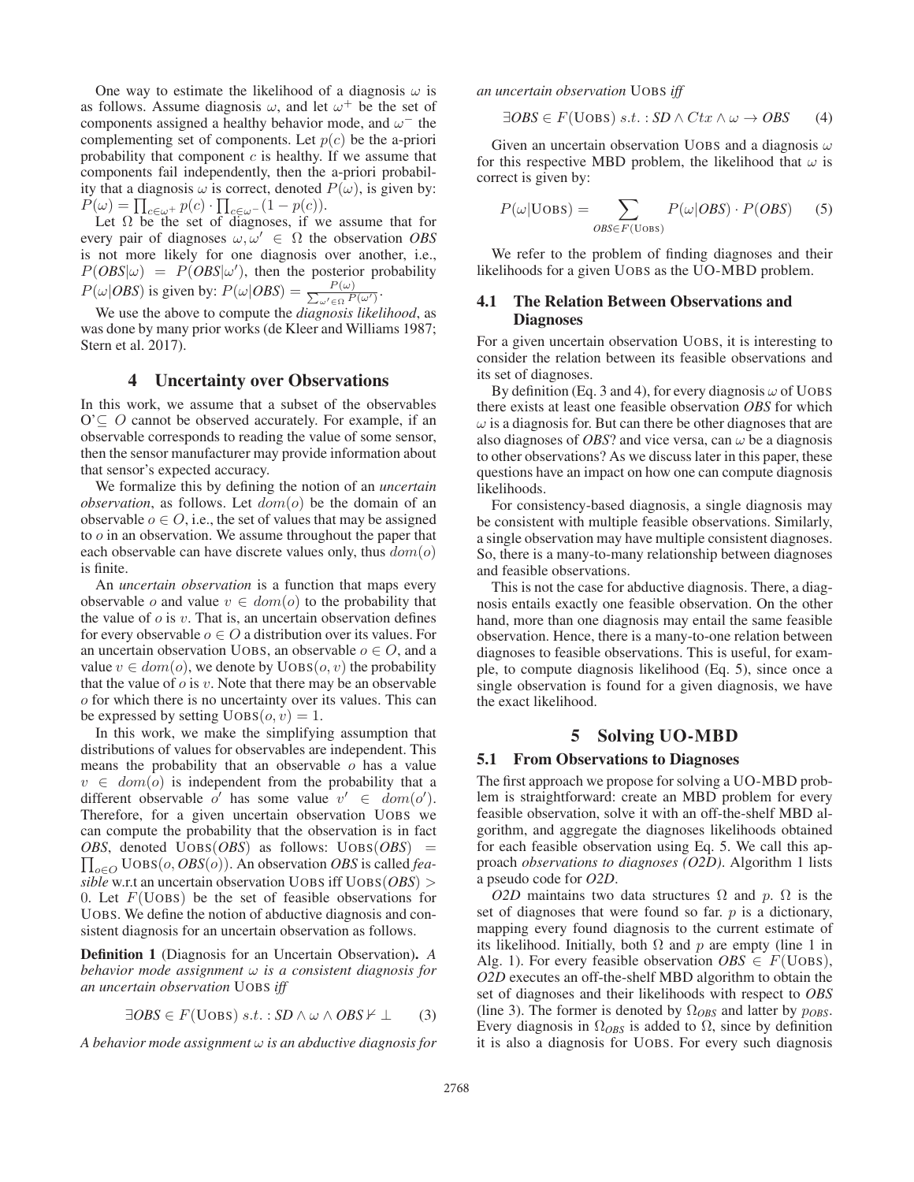One way to estimate the likelihood of a diagnosis  $\omega$  is as follows. Assume diagnosis  $\omega$ , and let  $\omega^+$  be the set of components assigned a healthy behavior mode, and  $\omega^-$  the complementing set of components. Let  $p(c)$  be the a-priori probability that component  $c$  is healthy. If we assume that components fail independently, then the a-priori probability that a diagnosis  $\omega$  is correct, denoted  $P(\omega)$ , is given by:  $P(\omega) = \prod_{c \in \omega^+} p(c) \cdot \prod_{c \in \omega^-} (1 - p(c)).$ 

Let  $\Omega$  be the set of diagnoses, if we assume that for every pair of diagnoses  $\omega, \omega' \in \Omega$  the observation *OBS* is not more likely for one diagnosis over another, i.e.,  $P(OBS|\omega) = P(OBS|\omega')$ , then the posterior probability  $P(\omega|OBS)$  is given by:  $P(\omega|OBS) = \frac{P(\omega)}{\sum_{\omega' \in \Omega} P}$  $\frac{P(\omega)}{\omega' \in \Omega} \frac{P(\omega')}{P(\omega')}$ .

We use the above to compute the *diagnosis likelihood*, as was done by many prior works (de Kleer and Williams 1987; Stern et al. 2017).

## 4 Uncertainty over Observations

In this work, we assume that a subset of the observables  $O \subset O$  cannot be observed accurately. For example, if an observable corresponds to reading the value of some sensor, then the sensor manufacturer may provide information about that sensor's expected accuracy.

We formalize this by defining the notion of an *uncertain observation*, as follows. Let  $dom(o)$  be the domain of an observable  $o \in O$ , i.e., the set of values that may be assigned to o in an observation. We assume throughout the paper that each observable can have discrete values only, thus  $dom(o)$ is finite.

An *uncertain observation* is a function that maps every observable o and value  $v \in dom(o)$  to the probability that the value of  $\sigma$  is  $v$ . That is, an uncertain observation defines for every observable  $o \in O$  a distribution over its values. For an uncertain observation UOBS, an observable  $o \in O$ , and a value  $v \in dom(o)$ , we denote by  $UOBS(o, v)$  the probability that the value of  $\sigma$  is  $v$ . Note that there may be an observable o for which there is no uncertainty over its values. This can be expressed by setting  $UOBS(o, v)=1$ .

In this work, we make the simplifying assumption that distributions of values for observables are independent. This means the probability that an observable  $\sigma$  has a value  $v \in dom(o)$  is independent from the probability that a different observable o' has some value  $v' \in \text{dom}(o').$ Therefore, for a given uncertain observation UOBS we can compute the probability that the observation is in fact *OBS* , denoted UOBS(*OBS*) as follows: UOBS(*OBS*) =  $\prod_{o \in O} \text{UOBS}(o, OBS(o))$ . An observation *OBS* is called *feasible* w.r.t an uncertain observation UOBS iff UOBS(*OBS*) > 0. Let  $F(\text{U} \text{O} \text{B} \text{S})$  be the set of feasible observations for UOBS. We define the notion of abductive diagnosis and consistent diagnosis for an uncertain observation as follows.

Definition 1 (Diagnosis for an Uncertain Observation). *A behavior mode assignment* ω *is a consistent diagnosis for an uncertain observation* UOBS *iff*

$$
\exists OBS \in F(\text{Uobs}) \ s.t. : SD \land \omega \land OBS \nvdash \bot \qquad (3)
$$

*A behavior mode assignment* ω *is an abductive diagnosis for*

*an uncertain observation* UOBS *iff*

$$
\exists OBS \in F(\text{Uobs}) \ s.t. : SD \land Ctx \land \omega \to OBS \qquad (4)
$$

Given an uncertain observation UOBS and a diagnosis  $\omega$ for this respective MBD problem, the likelihood that  $\omega$  is correct is given by:

$$
P(\omega | \text{Uobs}) = \sum_{OBS \in F(\text{Uobs})} P(\omega | OBS) \cdot P(OBS) \quad (5)
$$

We refer to the problem of finding diagnoses and their likelihoods for a given UOBS as the UO-MBD problem.

## 4.1 The Relation Between Observations and Diagnoses

For a given uncertain observation UOBS, it is interesting to consider the relation between its feasible observations and its set of diagnoses.

By definition (Eq. 3 and 4), for every diagnosis  $\omega$  of UOBS there exists at least one feasible observation *OBS* for which  $\omega$  is a diagnosis for. But can there be other diagnoses that are also diagnoses of *OBS*? and vice versa, can  $\omega$  be a diagnosis to other observations? As we discuss later in this paper, these questions have an impact on how one can compute diagnosis likelihoods.

For consistency-based diagnosis, a single diagnosis may be consistent with multiple feasible observations. Similarly, a single observation may have multiple consistent diagnoses. So, there is a many-to-many relationship between diagnoses and feasible observations.

This is not the case for abductive diagnosis. There, a diagnosis entails exactly one feasible observation. On the other hand, more than one diagnosis may entail the same feasible observation. Hence, there is a many-to-one relation between diagnoses to feasible observations. This is useful, for example, to compute diagnosis likelihood (Eq. 5), since once a single observation is found for a given diagnosis, we have the exact likelihood.

#### 5 Solving UO-MBD

#### 5.1 From Observations to Diagnoses

The first approach we propose for solving a UO-MBD problem is straightforward: create an MBD problem for every feasible observation, solve it with an off-the-shelf MBD algorithm, and aggregate the diagnoses likelihoods obtained for each feasible observation using Eq. 5. We call this approach *observations to diagnoses (O2D)*. Algorithm 1 lists a pseudo code for *O2D*.

*O2D* maintains two data structures  $\Omega$  and p.  $\Omega$  is the set of diagnoses that were found so far.  $p$  is a dictionary, mapping every found diagnosis to the current estimate of its likelihood. Initially, both  $\Omega$  and p are empty (line 1 in Alg. 1). For every feasible observation  $OBS \in F(\text{U}OBS)$ , *O2D* executes an off-the-shelf MBD algorithm to obtain the set of diagnoses and their likelihoods with respect to *OBS* (line 3). The former is denoted by  $\Omega_{OBS}$  and latter by  $p_{OBS}$ . Every diagnosis in  $\Omega_{OBS}$  is added to  $\Omega$ , since by definition it is also a diagnosis for UOBS. For every such diagnosis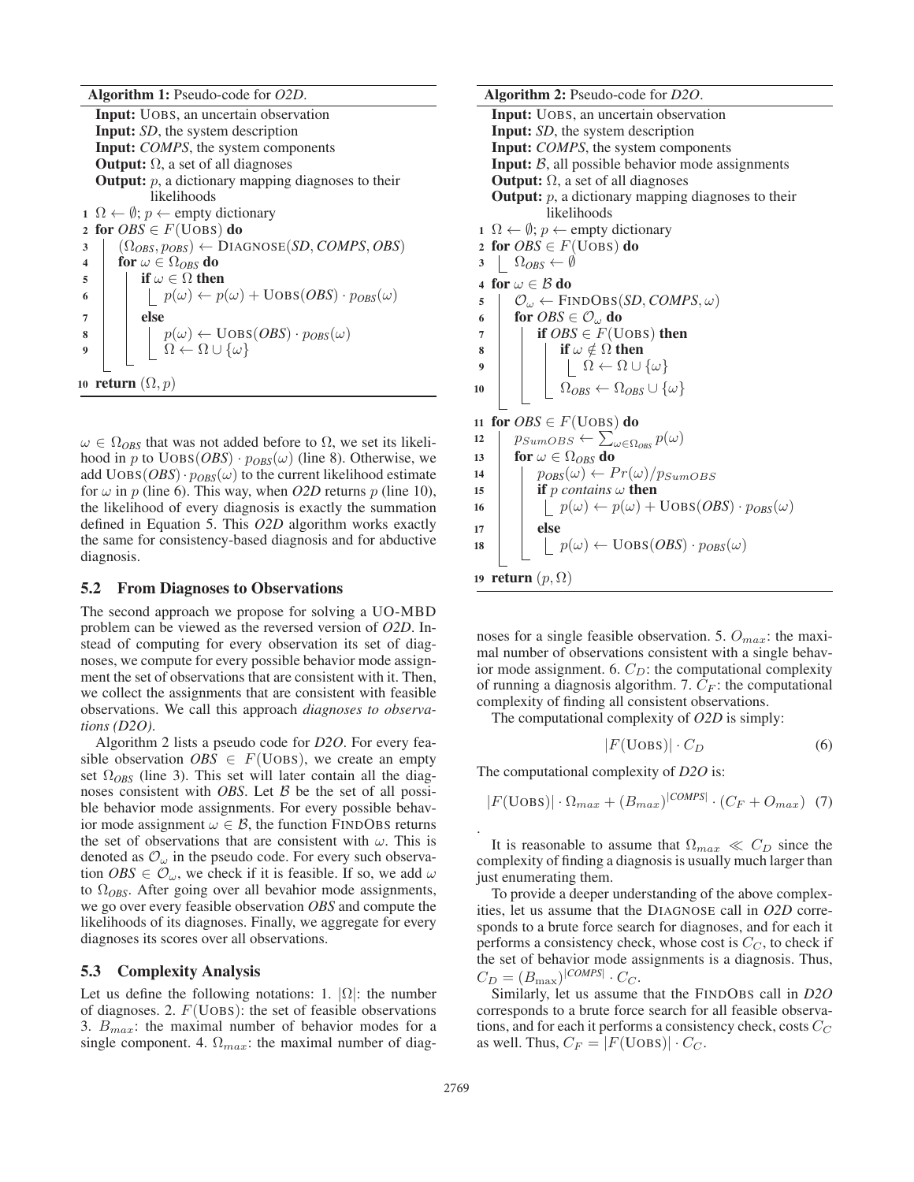Algorithm 1: Pseudo-code for *O2D*.

Input: UOBS, an uncertain observation Input: *SD*, the system description Input: *COMPS*, the system components **Output:**  $\Omega$ , a set of all diagnoses **Output:**  $p$ , a dictionary mapping diagnoses to their likelihoods 1 Ω ←  $\emptyset$ ; *p* ← empty dictionary 2 for  $OBS \in F(\overline{U} \overline{O} \overline{B} S)$  do  $\Omega$  ( $\Omega_{OBS}, p_{OBS}$ )  $\leftarrow$  DIAGNOSE(*SD*, *COMPS*, *OBS*) 4 for  $\omega \in \Omega_{OBS}$  do 5 if  $\omega \in \Omega$  then 6 | |  $p(\omega) \leftarrow p(\omega) + \text{Uobs}(OBS) \cdot p_{OBS}(\omega)$  $7$  else  $\mathbf{s}$  | |  $p(\omega) \leftarrow \text{Uobs}(OBS) \cdot p_{OBS}(\omega)$ 9 | |  $\Omega \leftarrow \Omega \cup {\omega}$ 10 return  $(\Omega, p)$ 

 $\omega \in \Omega_{\text{OBS}}$  that was not added before to  $\Omega$ , we set its likelihood in p to  $UOBS(OBS) \cdot p_{OBS}(\omega)$  (line 8). Otherwise, we add  $UOBS(*OBS*) \cdot p<sub>OBS</sub>(\omega)$  to the current likelihood estimate for  $\omega$  in p (line 6). This way, when *O2D* returns p (line 10), the likelihood of every diagnosis is exactly the summation defined in Equation 5. This *O2D* algorithm works exactly the same for consistency-based diagnosis and for abductive diagnosis.

#### 5.2 From Diagnoses to Observations

The second approach we propose for solving a UO-MBD problem can be viewed as the reversed version of *O2D*. Instead of computing for every observation its set of diagnoses, we compute for every possible behavior mode assignment the set of observations that are consistent with it. Then, we collect the assignments that are consistent with feasible observations. We call this approach *diagnoses to observations (D2O)*.

Algorithm 2 lists a pseudo code for *D2O*. For every feasible observation  $OBS \in F(\text{UOBS})$ , we create an empty set  $\Omega_{ORS}$  (line 3). This set will later contain all the diagnoses consistent with *OBS*. Let B be the set of all possible behavior mode assignments. For every possible behavior mode assignment  $\omega \in \mathcal{B}$ , the function FINDOBS returns the set of observations that are consistent with  $\omega$ . This is denoted as  $\mathcal{O}_{\omega}$  in the pseudo code. For every such observation  $\textit{OBS} \in \mathcal{O}_{\omega}$ , we check if it is feasible. If so, we add  $\omega$ to Ω*OBS*. After going over all bevahior mode assignments, we go over every feasible observation *OBS* and compute the likelihoods of its diagnoses. Finally, we aggregate for every diagnoses its scores over all observations.

#### 5.3 Complexity Analysis

Let us define the following notations: 1.  $|\Omega|$ : the number of diagnoses. 2.  $F$ (UOBS): the set of feasible observations 3.  $B_{max}$ : the maximal number of behavior modes for a single component. 4.  $\Omega_{max}$ : the maximal number of diag-

Algorithm 2: Pseudo-code for *D2O*. Input: UOBS, an uncertain observation Input: *SD*, the system description Input: *COMPS*, the system components **Input:**  $B$ , all possible behavior mode assignments **Output:**  $Ω$ , a set of all diagnoses **Output:**  $p$ , a dictionary mapping diagnoses to their likelihoods  $1 \Omega \leftarrow \emptyset$ ;  $p \leftarrow$  empty dictionary 2 for  $OBS \in F(\text{UOBS})$  do  $3 \left| \Omega_{OBS} \leftarrow \emptyset$ 4 for  $\omega \in \mathcal{B}$  do  $5 \mid \mathcal{O}_{\omega} \leftarrow$  FINDOBS(*SD*, *COMPS*,  $\omega$ ) 6 for  $OBS \in \mathcal{O}_\omega$  do 7 **if**  $OBS \in F(\text{Uobs})$  then 8 | | if  $\omega \notin \Omega$  then 9  $|$   $|$   $|$   $\Omega \leftarrow \Omega \cup {\omega}$ 10  $\Omega_{OBS} \leftarrow \Omega_{OBS} \cup \{\omega\}$ 11 for  $OBS \in F(\text{Uobs})$  do 12  $\vert p_{SumOBS} \leftarrow \sum_{\omega \in \Omega_{OBS}}' p(\omega)$ 13 for  $\omega \in \Omega_{OBS}$  do 14 |  $p_{OBS}(\omega) \leftarrow Pr(\omega)/p_{SumOBS}$ 

15 **if** p *contains*  $\omega$  **then** 16  $\vert \vert \vert p(\omega) \leftarrow p(\omega) + \text{Uobs}(OBS) \cdot p_{OBS}(\omega)$  $17$  else 18 | |  $p(\omega) \leftarrow \text{UOBS}(OBS) \cdot p_{OBS}(\omega)$ 19 return  $(p, \Omega)$ 

noses for a single feasible observation. 5.  $O_{max}$ : the maximal number of observations consistent with a single behavior mode assignment. 6.  $C_D$ : the computational complexity of running a diagnosis algorithm. 7.  $C_F$ : the computational complexity of finding all consistent observations.

The computational complexity of *O2D* is simply:

$$
|F(\text{Uobs})| \cdot C_D \tag{6}
$$

The computational complexity of *D2O* is:

 $|F(\text{Uobs})| \cdot \Omega_{max} + (B_{max})^{|COMPS|} \cdot (C_F + O_{max})$  (7)

It is reasonable to assume that  $\Omega_{max} \ll C_D$  since the complexity of finding a diagnosis is usually much larger than just enumerating them.

To provide a deeper understanding of the above complexities, let us assume that the DIAGNOSE call in *O2D* corresponds to a brute force search for diagnoses, and for each it performs a consistency check, whose cost is  $C_C$ , to check if the set of behavior mode assignments is a diagnosis. Thus,  $C_D = (B_{\text{max}})^{|COMPS|} \cdot C_C.$ 

Similarly, let us assume that the FINDOBS call in *D2O* corresponds to a brute force search for all feasible observations, and for each it performs a consistency check, costs  $C_C$ as well. Thus,  $C_F = |F(\text{Uobs})| \cdot C_C$ .

.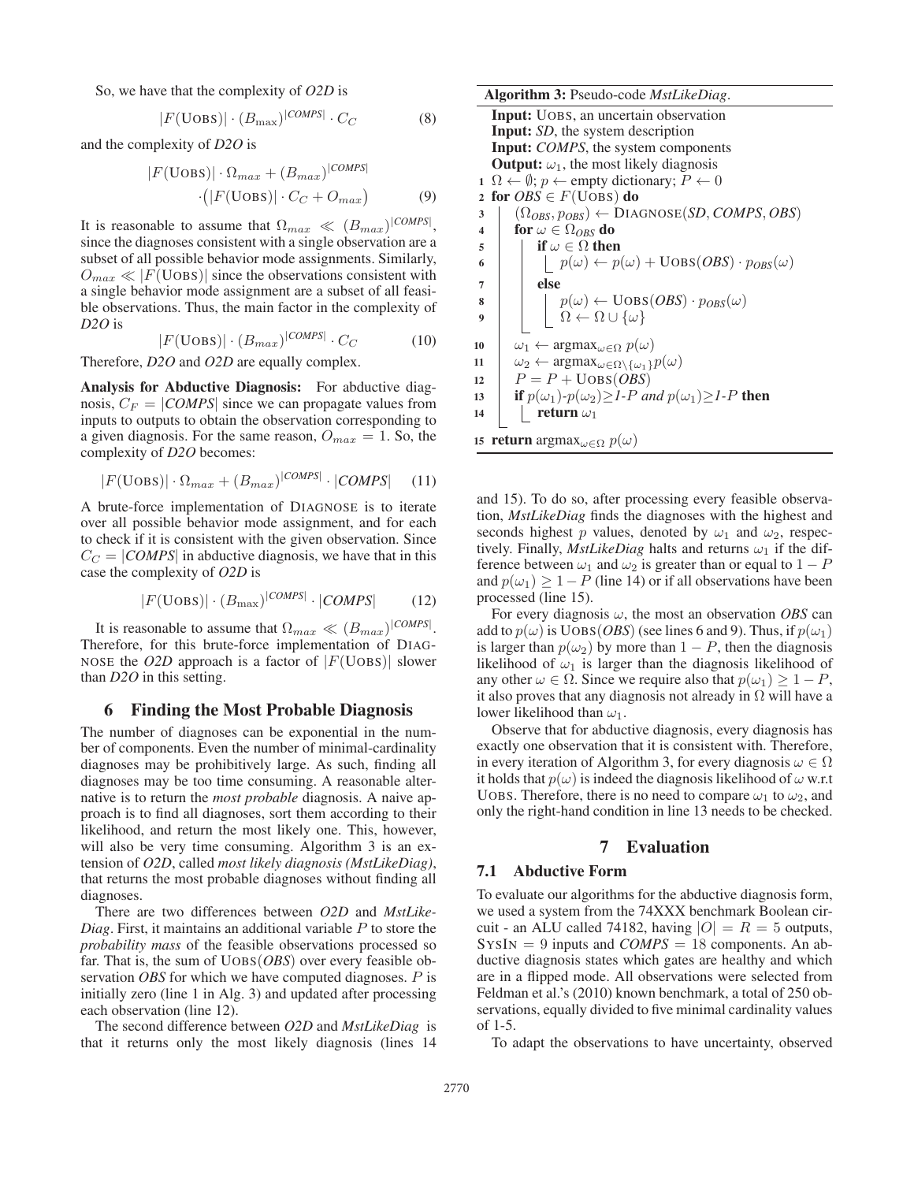So, we have that the complexity of *O2D* is

$$
|F(\text{Uobs})| \cdot (B_{\text{max}})^{|COMPS|} \cdot C_C \tag{8}
$$

and the complexity of *D2O* is

$$
|F(\text{Uobs})| \cdot \Omega_{max} + (B_{max})^{|COMPS|}
$$

$$
\cdot (|F(\text{Uobs})| \cdot C_C + O_{max})
$$
(9)

It is reasonable to assume that  $\Omega_{max} \ll (B_{max})^{|COMPS|}$ , since the diagnoses consistent with a single observation are a subset of all possible behavior mode assignments. Similarly,  $O_{max} \ll |F(\text{Uobs})|$  since the observations consistent with a single behavior mode assignment are a subset of all feasible observations. Thus, the main factor in the complexity of *D2O* is

$$
|F(\text{Uobs})| \cdot (B_{max})^{|COMPS|} \cdot C_C \tag{10}
$$

Therefore, *D2O* and *O2D* are equally complex.

Analysis for Abductive Diagnosis: For abductive diagnosis,  $C_F = |COMPS|$  since we can propagate values from inputs to outputs to obtain the observation corresponding to a given diagnosis. For the same reason,  $O_{max} = 1$ . So, the complexity of *D2O* becomes:

$$
|F(\text{Uobs})| \cdot \Omega_{max} + (B_{max})^{|COMPS|} \cdot |COMPS| \quad (11)
$$

A brute-force implementation of DIAGNOSE is to iterate over all possible behavior mode assignment, and for each to check if it is consistent with the given observation. Since  $C_C = |COMPS|$  in abductive diagnosis, we have that in this case the complexity of *O2D* is

$$
|F(\text{Uobs})| \cdot (B_{\text{max}})^{|COMPS|} \cdot |COMPS| \tag{12}
$$

It is reasonable to assume that  $\Omega_{max} \ll (B_{max})^{|COMPS|}$ . Therefore, for this brute-force implementation of DIAG-NOSE the *O2D* approach is a factor of  $|F(\text{U} \text{OBS})|$  slower than *D2O* in this setting.

## 6 Finding the Most Probable Diagnosis

The number of diagnoses can be exponential in the number of components. Even the number of minimal-cardinality diagnoses may be prohibitively large. As such, finding all diagnoses may be too time consuming. A reasonable alternative is to return the *most probable* diagnosis. A naive approach is to find all diagnoses, sort them according to their likelihood, and return the most likely one. This, however, will also be very time consuming. Algorithm 3 is an extension of *O2D*, called *most likely diagnosis (MstLikeDiag)*, that returns the most probable diagnoses without finding all diagnoses.

There are two differences between *O2D* and *MstLike-Diag*. First, it maintains an additional variable P to store the *probability mass* of the feasible observations processed so far. That is, the sum of UOBS(*OBS*) over every feasible observation *OBS* for which we have computed diagnoses. P is initially zero (line 1 in Alg. 3) and updated after processing each observation (line 12).

The second difference between *O2D* and *MstLikeDiag* is that it returns only the most likely diagnosis (lines 14

| <b>Algorithm 3:</b> Pseudo-code <i>MstLikeDiag</i> .                                                                                                                      |
|---------------------------------------------------------------------------------------------------------------------------------------------------------------------------|
| <b>Input:</b> UOBS, an uncertain observation                                                                                                                              |
| <b>Input:</b> SD, the system description                                                                                                                                  |
| <b>Input:</b> COMPS, the system components                                                                                                                                |
| <b>Output:</b> $\omega_1$ , the most likely diagnosis                                                                                                                     |
| $1 \Omega \leftarrow \emptyset$ ; $p \leftarrow$ empty dictionary; $P \leftarrow 0$                                                                                       |
| for $OBS \in F(\text{Uobs})$ do<br>$\overline{2}$                                                                                                                         |
| $(\Omega_{OBS}, p_{OBS}) \leftarrow \text{DIAGNOSE}(SD, COMPS, OBS)$<br>3                                                                                                 |
| for $\omega \in \Omega_{OBS}$ do<br>$\overline{\mathbf{4}}$                                                                                                               |
| if $\omega \in \Omega$ then<br>5                                                                                                                                          |
| $  p(\omega) \leftarrow p(\omega) + \text{Uobs}(OBS) \cdot p_{OBS}(\omega)$<br>6                                                                                          |
| else<br>$\overline{7}$                                                                                                                                                    |
| 8                                                                                                                                                                         |
| $\left  \begin{array}{l} p(\omega) \leftarrow \text{Uobs}(OBS) \cdot p_{OBS}(\omega) \\ \Omega \leftarrow \Omega \cup \{\omega\} \end{array} \right.$<br>$\boldsymbol{9}$ |
|                                                                                                                                                                           |
| $\omega_1 \leftarrow \argmax_{\omega \in \Omega} p(\omega)$<br>10                                                                                                         |
| $\omega_2 \leftarrow \argmax_{\omega \in \Omega \setminus {\{\omega_1\}}} p(\omega)$<br>11                                                                                |
| $P = P + \text{Uobs}(OBS)$<br>12                                                                                                                                          |
| if $p(\omega_1)$ - $p(\omega_2) \geq 1$ -P and $p(\omega_1) \geq 1$ -P then<br>13                                                                                         |
| return $\omega_1$<br>14                                                                                                                                                   |
| 15 <b>return</b> argmax $\omega \in \Omega$ $p(\omega)$                                                                                                                   |

and 15). To do so, after processing every feasible observation, *MstLikeDiag* finds the diagnoses with the highest and seconds highest p values, denoted by  $\omega_1$  and  $\omega_2$ , respectively. Finally, *MstLikeDiag* halts and returns  $\omega_1$  if the difference between  $\omega_1$  and  $\omega_2$  is greater than or equal to  $1 - P$ and  $p(\omega_1) \geq 1 - P$  (line 14) or if all observations have been processed (line 15).

For every diagnosis  $\omega$ , the most an observation *OBS* can add to  $p(\omega)$  is UOBS(*OBS*) (see lines 6 and 9). Thus, if  $p(\omega_1)$ is larger than  $p(\omega_2)$  by more than  $1 - P$ , then the diagnosis likelihood of  $\omega_1$  is larger than the diagnosis likelihood of any other  $\omega \in \Omega$ . Since we require also that  $p(\omega_1) \geq 1 - P$ , it also proves that any diagnosis not already in  $\Omega$  will have a lower likelihood than  $\omega_1$ .

Observe that for abductive diagnosis, every diagnosis has exactly one observation that it is consistent with. Therefore, in every iteration of Algorithm 3, for every diagnosis  $\omega \in \Omega$ it holds that  $p(\omega)$  is indeed the diagnosis likelihood of  $\omega$  w.r.t UOBS. Therefore, there is no need to compare  $\omega_1$  to  $\omega_2$ , and only the right-hand condition in line 13 needs to be checked.

## 7 Evaluation

## 7.1 Abductive Form

To evaluate our algorithms for the abductive diagnosis form, we used a system from the 74XXX benchmark Boolean circuit - an ALU called 74182, having  $|O| = R = 5$  outputs,  $SysN = 9$  inputs and *COMPS* = 18 components. An abductive diagnosis states which gates are healthy and which are in a flipped mode. All observations were selected from Feldman et al.'s (2010) known benchmark, a total of 250 observations, equally divided to five minimal cardinality values of 1-5.

To adapt the observations to have uncertainty, observed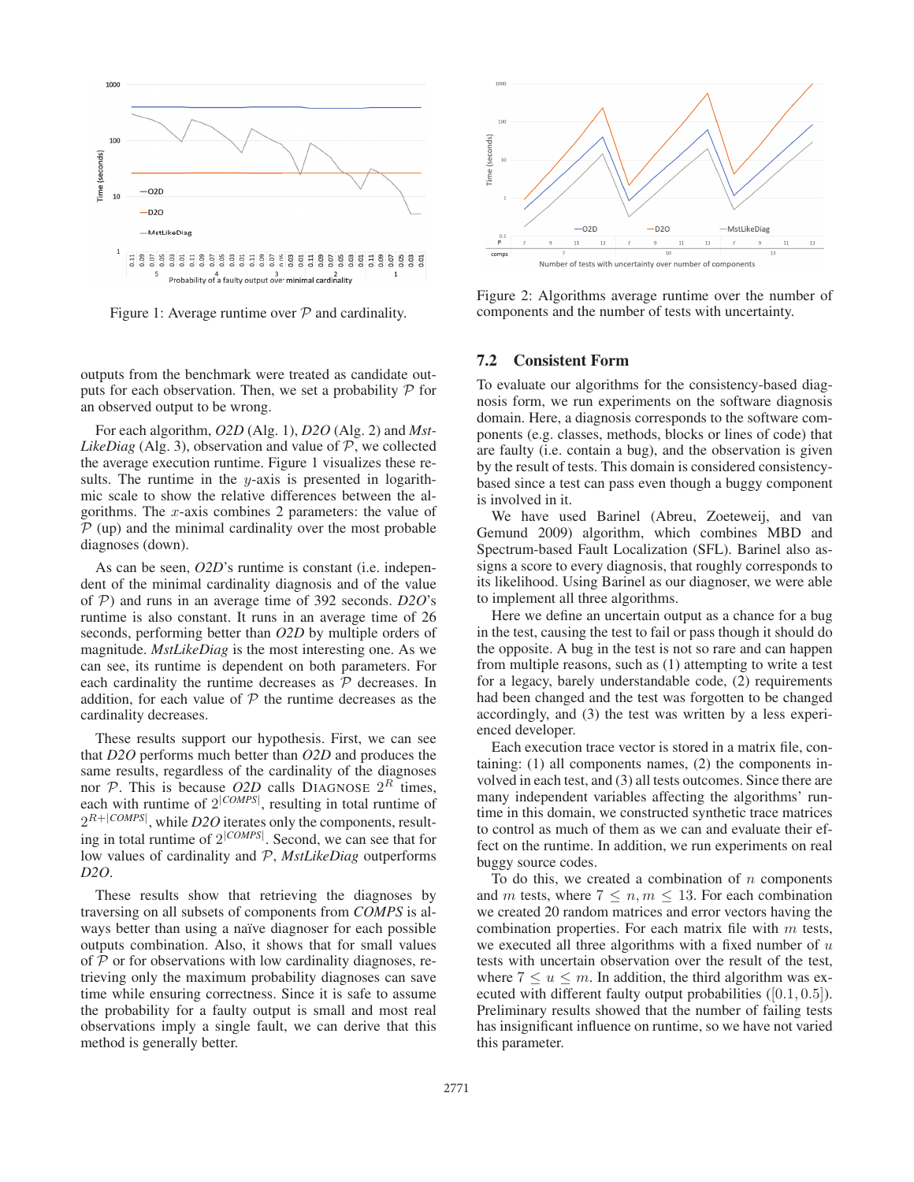

Figure 1: Average runtime over  $P$  and cardinality.

outputs from the benchmark were treated as candidate outputs for each observation. Then, we set a probability  $P$  for an observed output to be wrong.

For each algorithm, *O2D* (Alg. 1), *D2O* (Alg. 2) and *Mst-LikeDiag* (Alg. 3), observation and value of  $P$ , we collected the average execution runtime. Figure 1 visualizes these results. The runtime in the y-axis is presented in logarithmic scale to show the relative differences between the algorithms. The  $x$ -axis combines 2 parameters: the value of  $P$  (up) and the minimal cardinality over the most probable diagnoses (down).

As can be seen, *O2D*'s runtime is constant (i.e. independent of the minimal cardinality diagnosis and of the value of P) and runs in an average time of 392 seconds. *D2O*'s runtime is also constant. It runs in an average time of 26 seconds, performing better than *O2D* by multiple orders of magnitude. *MstLikeDiag* is the most interesting one. As we can see, its runtime is dependent on both parameters. For each cardinality the runtime decreases as  $P$  decreases. In addition, for each value of  $P$  the runtime decreases as the cardinality decreases.

These results support our hypothesis. First, we can see that *D2O* performs much better than *O2D* and produces the same results, regardless of the cardinality of the diagnoses nor  $P$ . This is because *O2D* calls DIAGNOSE  $2^R$  times, each with runtime of  $2^{|COMPS|}$ , resulting in total runtime of  $2^{R+|COMPS|}$ , while *D2O* iterates only the components, resulting in total runtime of 2<sup>|</sup>*COMPS*<sup>|</sup> . Second, we can see that for low values of cardinality and P, *MstLikeDiag* outperforms *D2O*.

These results show that retrieving the diagnoses by traversing on all subsets of components from *COMPS* is always better than using a naïve diagnoser for each possible outputs combination. Also, it shows that for small values of  $P$  or for observations with low cardinality diagnoses, retrieving only the maximum probability diagnoses can save time while ensuring correctness. Since it is safe to assume the probability for a faulty output is small and most real observations imply a single fault, we can derive that this method is generally better.



Figure 2: Algorithms average runtime over the number of components and the number of tests with uncertainty.

## 7.2 Consistent Form

To evaluate our algorithms for the consistency-based diagnosis form, we run experiments on the software diagnosis domain. Here, a diagnosis corresponds to the software components (e.g. classes, methods, blocks or lines of code) that are faulty (i.e. contain a bug), and the observation is given by the result of tests. This domain is considered consistencybased since a test can pass even though a buggy component is involved in it.

We have used Barinel (Abreu, Zoeteweij, and van Gemund 2009) algorithm, which combines MBD and Spectrum-based Fault Localization (SFL). Barinel also assigns a score to every diagnosis, that roughly corresponds to its likelihood. Using Barinel as our diagnoser, we were able to implement all three algorithms.

Here we define an uncertain output as a chance for a bug in the test, causing the test to fail or pass though it should do the opposite. A bug in the test is not so rare and can happen from multiple reasons, such as (1) attempting to write a test for a legacy, barely understandable code, (2) requirements had been changed and the test was forgotten to be changed accordingly, and (3) the test was written by a less experienced developer.

Each execution trace vector is stored in a matrix file, containing: (1) all components names, (2) the components involved in each test, and (3) all tests outcomes. Since there are many independent variables affecting the algorithms' runtime in this domain, we constructed synthetic trace matrices to control as much of them as we can and evaluate their effect on the runtime. In addition, we run experiments on real buggy source codes.

To do this, we created a combination of  $n$  components and m tests, where  $7 \leq n, m \leq 13$ . For each combination we created 20 random matrices and error vectors having the combination properties. For each matrix file with  $m$  tests, we executed all three algorithms with a fixed number of  $u$ tests with uncertain observation over the result of the test, where  $7 \le u \le m$ . In addition, the third algorithm was executed with different faulty output probabilities  $([0.1, 0.5])$ . Preliminary results showed that the number of failing tests has insignificant influence on runtime, so we have not varied this parameter.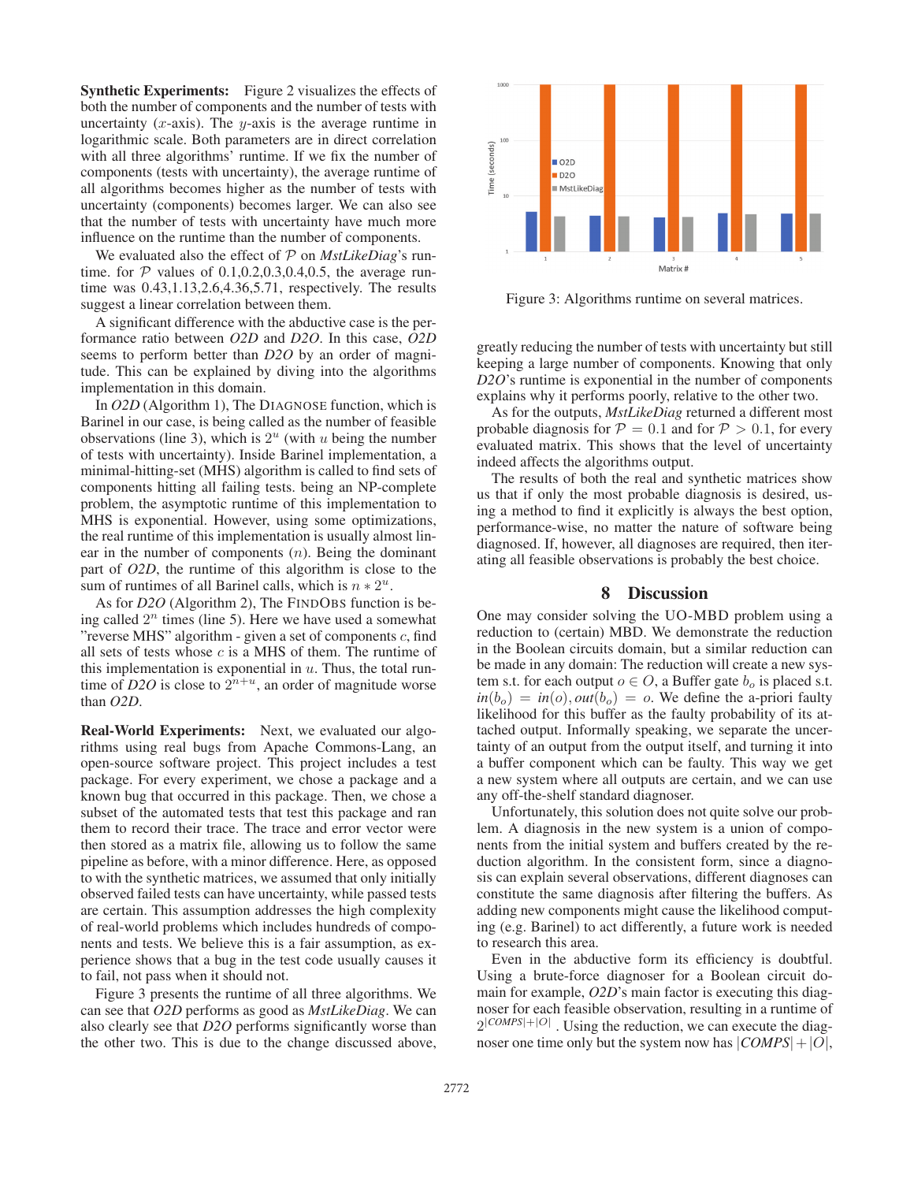Synthetic Experiments: Figure 2 visualizes the effects of both the number of components and the number of tests with uncertainty  $(x-axis)$ . The  $y-axis$  is the average runtime in logarithmic scale. Both parameters are in direct correlation with all three algorithms' runtime. If we fix the number of components (tests with uncertainty), the average runtime of all algorithms becomes higher as the number of tests with uncertainty (components) becomes larger. We can also see that the number of tests with uncertainty have much more influence on the runtime than the number of components.

We evaluated also the effect of P on *MstLikeDiag*'s runtime. for  $P$  values of 0.1,0.2,0.3,0.4,0.5, the average runtime was 0.43,1.13,2.6,4.36,5.71, respectively. The results suggest a linear correlation between them.

A significant difference with the abductive case is the performance ratio between *O2D* and *D2O*. In this case, *O2D* seems to perform better than *D2O* by an order of magnitude. This can be explained by diving into the algorithms implementation in this domain.

In *O2D* (Algorithm 1), The DIAGNOSE function, which is Barinel in our case, is being called as the number of feasible observations (line 3), which is  $2^u$  (with u being the number of tests with uncertainty). Inside Barinel implementation, a minimal-hitting-set (MHS) algorithm is called to find sets of components hitting all failing tests. being an NP-complete problem, the asymptotic runtime of this implementation to MHS is exponential. However, using some optimizations, the real runtime of this implementation is usually almost linear in the number of components  $(n)$ . Being the dominant part of *O2D*, the runtime of this algorithm is close to the sum of runtimes of all Barinel calls, which is  $n * 2^u$ .

As for *D2O* (Algorithm 2), The FINDOBS function is being called  $2<sup>n</sup>$  times (line 5). Here we have used a somewhat "reverse MHS" algorithm - given a set of components  $c$ , find all sets of tests whose  $c$  is a MHS of them. The runtime of this implementation is exponential in  $u$ . Thus, the total runtime of *D2O* is close to  $2^{n+u}$ , an order of magnitude worse than *O2D*.

Real-World Experiments: Next, we evaluated our algorithms using real bugs from Apache Commons-Lang, an open-source software project. This project includes a test package. For every experiment, we chose a package and a known bug that occurred in this package. Then, we chose a subset of the automated tests that test this package and ran them to record their trace. The trace and error vector were then stored as a matrix file, allowing us to follow the same pipeline as before, with a minor difference. Here, as opposed to with the synthetic matrices, we assumed that only initially observed failed tests can have uncertainty, while passed tests are certain. This assumption addresses the high complexity of real-world problems which includes hundreds of components and tests. We believe this is a fair assumption, as experience shows that a bug in the test code usually causes it to fail, not pass when it should not.

Figure 3 presents the runtime of all three algorithms. We can see that *O2D* performs as good as *MstLikeDiag*. We can also clearly see that *D2O* performs significantly worse than the other two. This is due to the change discussed above,



Figure 3: Algorithms runtime on several matrices.

greatly reducing the number of tests with uncertainty but still keeping a large number of components. Knowing that only *D2O*'s runtime is exponential in the number of components explains why it performs poorly, relative to the other two.

As for the outputs, *MstLikeDiag* returned a different most probable diagnosis for  $P = 0.1$  and for  $P > 0.1$ , for every evaluated matrix. This shows that the level of uncertainty indeed affects the algorithms output.

The results of both the real and synthetic matrices show us that if only the most probable diagnosis is desired, using a method to find it explicitly is always the best option, performance-wise, no matter the nature of software being diagnosed. If, however, all diagnoses are required, then iterating all feasible observations is probably the best choice.

## 8 Discussion

One may consider solving the UO-MBD problem using a reduction to (certain) MBD. We demonstrate the reduction in the Boolean circuits domain, but a similar reduction can be made in any domain: The reduction will create a new system s.t. for each output  $o \in O$ , a Buffer gate  $b<sub>o</sub>$  is placed s.t.  $in(b<sub>o</sub>) = in(o), out(b<sub>o</sub>) = o.$  We define the a-priori faulty likelihood for this buffer as the faulty probability of its attached output. Informally speaking, we separate the uncertainty of an output from the output itself, and turning it into a buffer component which can be faulty. This way we get a new system where all outputs are certain, and we can use any off-the-shelf standard diagnoser.

Unfortunately, this solution does not quite solve our problem. A diagnosis in the new system is a union of components from the initial system and buffers created by the reduction algorithm. In the consistent form, since a diagnosis can explain several observations, different diagnoses can constitute the same diagnosis after filtering the buffers. As adding new components might cause the likelihood computing (e.g. Barinel) to act differently, a future work is needed to research this area.

Even in the abductive form its efficiency is doubtful. Using a brute-force diagnoser for a Boolean circuit domain for example, *O2D*'s main factor is executing this diagnoser for each feasible observation, resulting in a runtime of  $2^{|COMPS|+|O|}$ . Using the reduction, we can execute the diagnoser one time only but the system now has  $|COMPS|+|O|$ ,